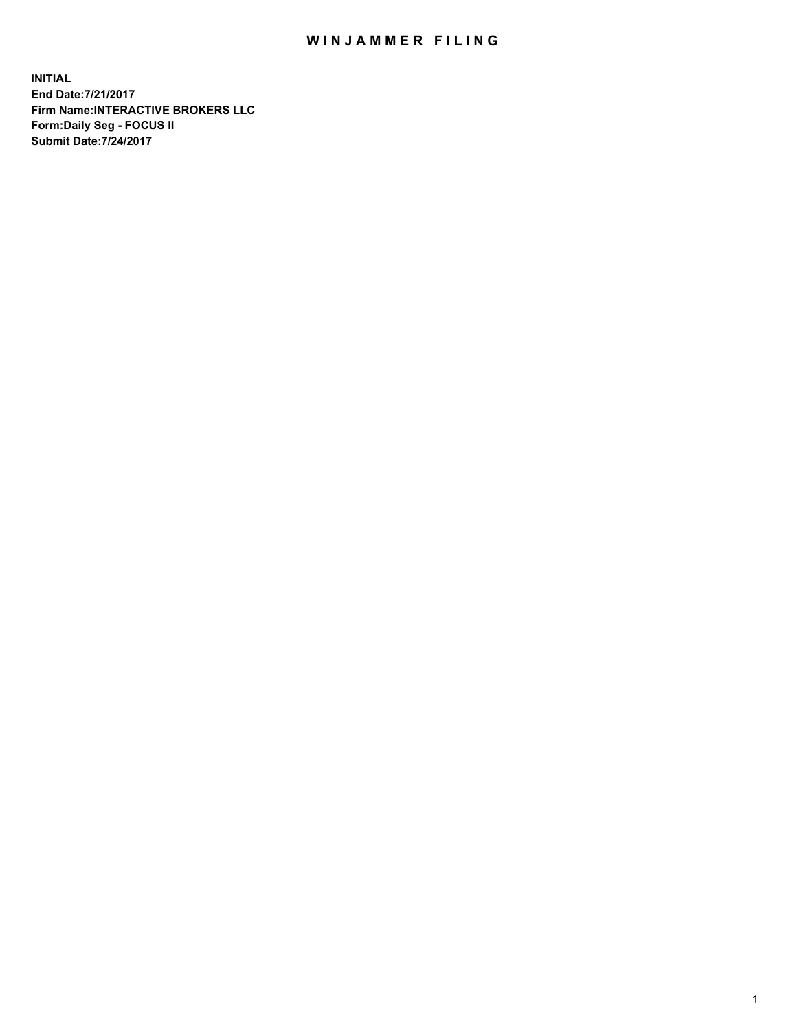## WIN JAMMER FILING

**INITIAL End Date:7/21/2017 Firm Name:INTERACTIVE BROKERS LLC Form:Daily Seg - FOCUS II Submit Date:7/24/2017**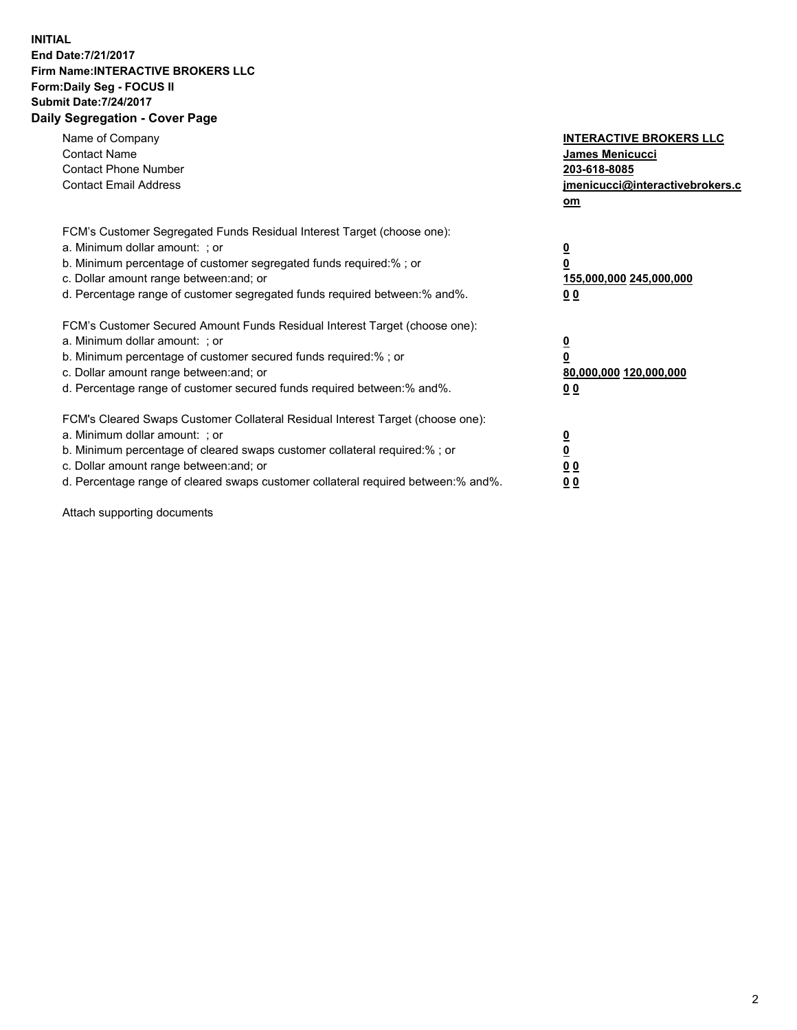## **INITIAL End Date:7/21/2017 Firm Name:INTERACTIVE BROKERS LLC Form:Daily Seg - FOCUS II Submit Date:7/24/2017 Daily Segregation - Cover Page**

| Name of Company<br><b>Contact Name</b><br><b>Contact Phone Number</b><br><b>Contact Email Address</b>                                                                                                                                                                                                                          | <b>INTERACTIVE BROKERS LLC</b><br><b>James Menicucci</b><br>203-618-8085<br><u>jmenicucci@interactivebrokers.c</u><br>om |
|--------------------------------------------------------------------------------------------------------------------------------------------------------------------------------------------------------------------------------------------------------------------------------------------------------------------------------|--------------------------------------------------------------------------------------------------------------------------|
| FCM's Customer Segregated Funds Residual Interest Target (choose one):<br>a. Minimum dollar amount: ; or<br>b. Minimum percentage of customer segregated funds required:%; or<br>c. Dollar amount range between: and; or<br>d. Percentage range of customer segregated funds required between:% and%.                          | <u>0</u><br>0<br><u>155,000,000 245,000,000</u><br>0 <sub>0</sub>                                                        |
| FCM's Customer Secured Amount Funds Residual Interest Target (choose one):<br>a. Minimum dollar amount: ; or<br>b. Minimum percentage of customer secured funds required:%; or<br>c. Dollar amount range between: and; or<br>d. Percentage range of customer secured funds required between:% and%.                            | $\overline{\mathbf{0}}$<br>0<br>80,000,000 120,000,000<br>0 <sub>0</sub>                                                 |
| FCM's Cleared Swaps Customer Collateral Residual Interest Target (choose one):<br>a. Minimum dollar amount: ; or<br>b. Minimum percentage of cleared swaps customer collateral required:% ; or<br>c. Dollar amount range between: and; or<br>d. Percentage range of cleared swaps customer collateral required between:% and%. | $\underline{\mathbf{0}}$<br>$\overline{\mathbf{0}}$<br>0 <sub>0</sub><br><u>00</u>                                       |

Attach supporting documents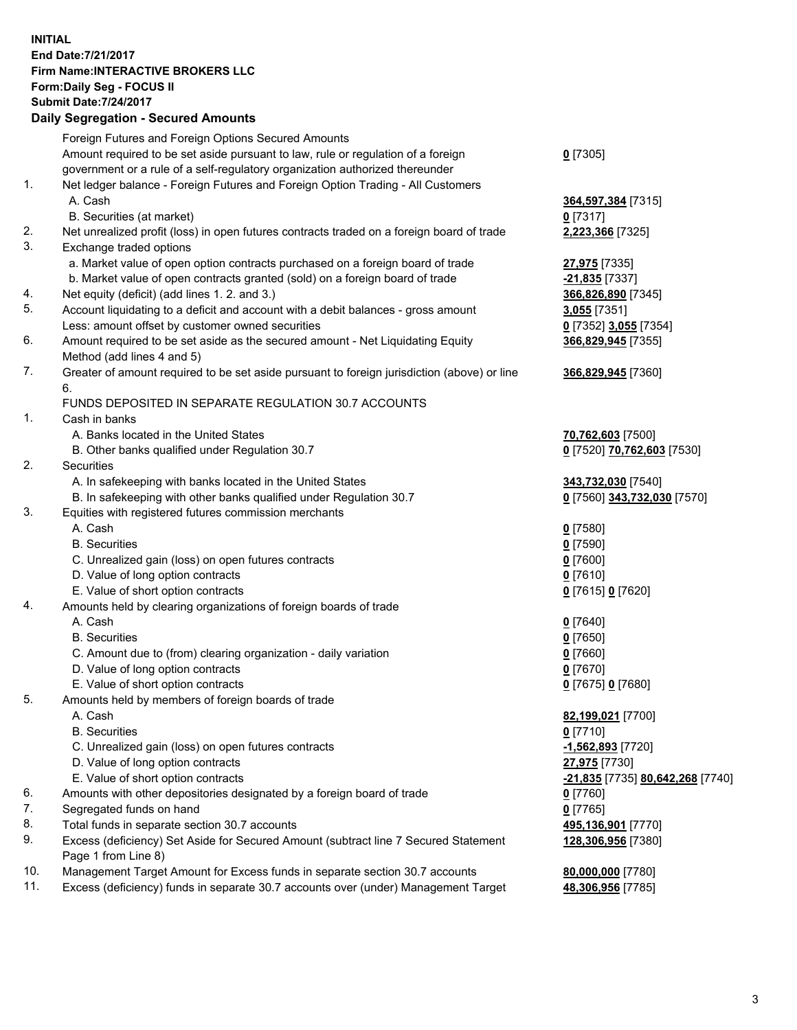## **INITIAL End Date:7/21/2017 Firm Name:INTERACTIVE BROKERS LLC Form:Daily Seg - FOCUS II Submit Date:7/24/2017**

|     | <b>Daily Segregation - Secured Amounts</b>                                                                |                                  |
|-----|-----------------------------------------------------------------------------------------------------------|----------------------------------|
|     | Foreign Futures and Foreign Options Secured Amounts                                                       |                                  |
|     | Amount required to be set aside pursuant to law, rule or regulation of a foreign                          | $0$ [7305]                       |
|     | government or a rule of a self-regulatory organization authorized thereunder                              |                                  |
| 1.  | Net ledger balance - Foreign Futures and Foreign Option Trading - All Customers                           |                                  |
|     | A. Cash                                                                                                   | 364,597,384 [7315]               |
| 2.  | B. Securities (at market)                                                                                 | $0$ [7317]                       |
| 3.  | Net unrealized profit (loss) in open futures contracts traded on a foreign board of trade                 | 2,223,366 [7325]                 |
|     | Exchange traded options<br>a. Market value of open option contracts purchased on a foreign board of trade | 27,975 [7335]                    |
|     | b. Market value of open contracts granted (sold) on a foreign board of trade                              | -21,835 [7337]                   |
| 4.  | Net equity (deficit) (add lines 1. 2. and 3.)                                                             | 366,826,890 [7345]               |
| 5.  | Account liquidating to a deficit and account with a debit balances - gross amount                         | 3,055 [7351]                     |
|     | Less: amount offset by customer owned securities                                                          | 0 [7352] 3,055 [7354]            |
| 6.  | Amount required to be set aside as the secured amount - Net Liquidating Equity                            | 366,829,945 [7355]               |
|     | Method (add lines 4 and 5)                                                                                |                                  |
| 7.  | Greater of amount required to be set aside pursuant to foreign jurisdiction (above) or line               | 366,829,945 [7360]               |
|     | 6.                                                                                                        |                                  |
|     | FUNDS DEPOSITED IN SEPARATE REGULATION 30.7 ACCOUNTS                                                      |                                  |
| 1.  | Cash in banks                                                                                             |                                  |
|     | A. Banks located in the United States                                                                     | 70,762,603 [7500]                |
|     | B. Other banks qualified under Regulation 30.7                                                            | 0 [7520] 70,762,603 [7530]       |
| 2.  | Securities                                                                                                |                                  |
|     | A. In safekeeping with banks located in the United States                                                 | 343,732,030 [7540]               |
|     | B. In safekeeping with other banks qualified under Regulation 30.7                                        | 0 [7560] 343,732,030 [7570]      |
| 3.  | Equities with registered futures commission merchants                                                     |                                  |
|     | A. Cash                                                                                                   | $0$ [7580]                       |
|     | <b>B.</b> Securities                                                                                      | $0$ [7590]                       |
|     | C. Unrealized gain (loss) on open futures contracts                                                       | $0$ [7600]                       |
|     | D. Value of long option contracts                                                                         | $0$ [7610]                       |
|     | E. Value of short option contracts                                                                        | 0 [7615] 0 [7620]                |
| 4.  | Amounts held by clearing organizations of foreign boards of trade                                         |                                  |
|     | A. Cash                                                                                                   | $0$ [7640]                       |
|     | <b>B.</b> Securities                                                                                      | $0$ [7650]                       |
|     | C. Amount due to (from) clearing organization - daily variation                                           | $0$ [7660]                       |
|     | D. Value of long option contracts<br>E. Value of short option contracts                                   | $0$ [7670]                       |
| 5.  | Amounts held by members of foreign boards of trade                                                        | 0 [7675] 0 [7680]                |
|     | A. Cash                                                                                                   | 82,199,021 [7700]                |
|     | <b>B.</b> Securities                                                                                      | $0$ [7710]                       |
|     | C. Unrealized gain (loss) on open futures contracts                                                       | -1,562,893 [7720]                |
|     | D. Value of long option contracts                                                                         | 27,975 [7730]                    |
|     | E. Value of short option contracts                                                                        | -21,835 [7735] 80,642,268 [7740] |
| 6.  | Amounts with other depositories designated by a foreign board of trade                                    | $0$ [7760]                       |
| 7.  | Segregated funds on hand                                                                                  | $0$ [7765]                       |
| 8.  | Total funds in separate section 30.7 accounts                                                             | 495,136,901 [7770]               |
| 9.  | Excess (deficiency) Set Aside for Secured Amount (subtract line 7 Secured Statement                       | 128,306,956 [7380]               |
|     | Page 1 from Line 8)                                                                                       |                                  |
| 10. | Management Target Amount for Excess funds in separate section 30.7 accounts                               | 80,000,000 [7780]                |
| 11. | Excess (deficiency) funds in separate 30.7 accounts over (under) Management Target                        | 48,306,956 [7785]                |
|     |                                                                                                           |                                  |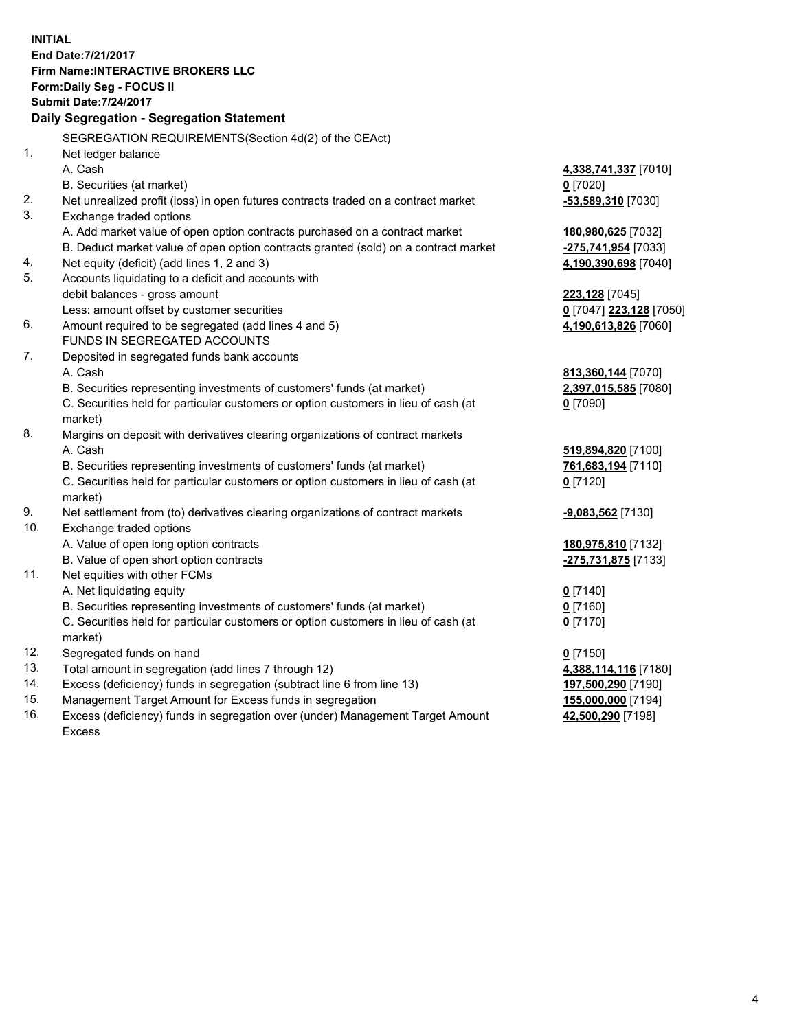**INITIAL End Date:7/21/2017 Firm Name:INTERACTIVE BROKERS LLC Form:Daily Seg - FOCUS II Submit Date:7/24/2017 Daily Segregation - Segregation Statement** SEGREGATION REQUIREMENTS(Section 4d(2) of the CEAct) 1. Net ledger balance A. Cash **4,338,741,337** [7010] B. Securities (at market) **0** [7020] 2. Net unrealized profit (loss) in open futures contracts traded on a contract market **-53,589,310** [7030] 3. Exchange traded options A. Add market value of open option contracts purchased on a contract market **180,980,625** [7032] B. Deduct market value of open option contracts granted (sold) on a contract market **-275,741,954** [7033] 4. Net equity (deficit) (add lines 1, 2 and 3) **4,190,390,698** [7040] 5. Accounts liquidating to a deficit and accounts with debit balances - gross amount **223,128** [7045] Less: amount offset by customer securities **0** [7047] **223,128** [7050] 6. Amount required to be segregated (add lines 4 and 5) **4,190,613,826** [7060] FUNDS IN SEGREGATED ACCOUNTS 7. Deposited in segregated funds bank accounts A. Cash **813,360,144** [7070] B. Securities representing investments of customers' funds (at market) **2,397,015,585** [7080] C. Securities held for particular customers or option customers in lieu of cash (at market) **0** [7090] 8. Margins on deposit with derivatives clearing organizations of contract markets A. Cash **519,894,820** [7100] B. Securities representing investments of customers' funds (at market) **761,683,194** [7110] C. Securities held for particular customers or option customers in lieu of cash (at market) **0** [7120] 9. Net settlement from (to) derivatives clearing organizations of contract markets **-9,083,562** [7130] 10. Exchange traded options A. Value of open long option contracts **180,975,810** [7132] B. Value of open short option contracts **-275,731,875** [7133] 11. Net equities with other FCMs A. Net liquidating equity **0** [7140] B. Securities representing investments of customers' funds (at market) **0** [7160] C. Securities held for particular customers or option customers in lieu of cash (at market) **0** [7170] 12. Segregated funds on hand **0** [7150] 13. Total amount in segregation (add lines 7 through 12) **4,388,114,116** [7180] 14. Excess (deficiency) funds in segregation (subtract line 6 from line 13) **197,500,290** [7190] 15. Management Target Amount for Excess funds in segregation **155,000,000** [7194]

16. Excess (deficiency) funds in segregation over (under) Management Target Amount Excess

**42,500,290** [7198]